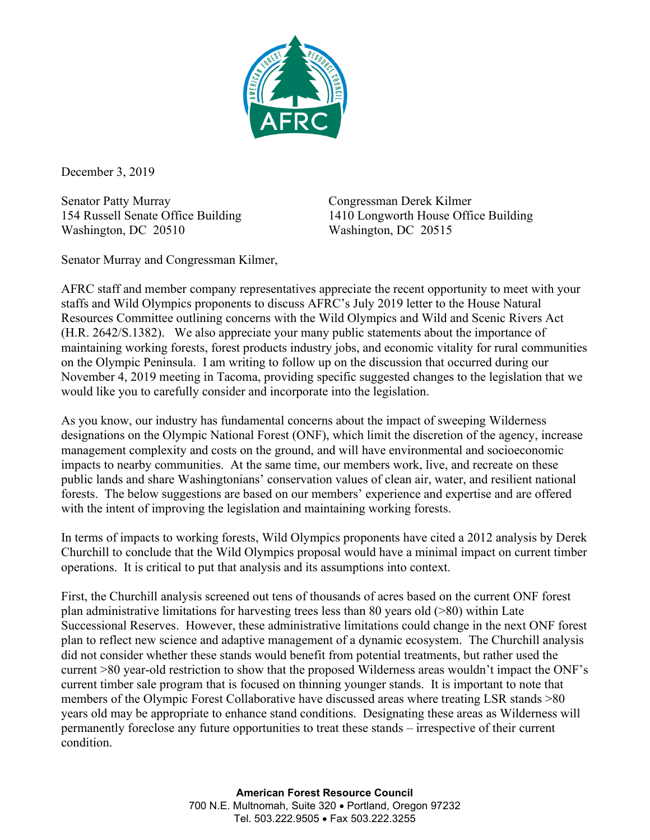

December 3, 2019

Senator Patty Murray Congressman Derek Kilmer Washington, DC 20510 Washington, DC 20515

154 Russell Senate Office Building 1410 Longworth House Office Building

Senator Murray and Congressman Kilmer,

AFRC staff and member company representatives appreciate the recent opportunity to meet with your staffs and Wild Olympics proponents to discuss AFRC's July 2019 letter to the House Natural Resources Committee outlining concerns with the Wild Olympics and Wild and Scenic Rivers Act (H.R. 2642/S.1382). We also appreciate your many public statements about the importance of maintaining working forests, forest products industry jobs, and economic vitality for rural communities on the Olympic Peninsula. I am writing to follow up on the discussion that occurred during our November 4, 2019 meeting in Tacoma, providing specific suggested changes to the legislation that we would like you to carefully consider and incorporate into the legislation.

As you know, our industry has fundamental concerns about the impact of sweeping Wilderness designations on the Olympic National Forest (ONF), which limit the discretion of the agency, increase management complexity and costs on the ground, and will have environmental and socioeconomic impacts to nearby communities. At the same time, our members work, live, and recreate on these public lands and share Washingtonians' conservation values of clean air, water, and resilient national forests. The below suggestions are based on our members' experience and expertise and are offered with the intent of improving the legislation and maintaining working forests.

In terms of impacts to working forests, Wild Olympics proponents have cited a 2012 analysis by Derek Churchill to conclude that the Wild Olympics proposal would have a minimal impact on current timber operations. It is critical to put that analysis and its assumptions into context.

First, the Churchill analysis screened out tens of thousands of acres based on the current ONF forest plan administrative limitations for harvesting trees less than 80 years old (>80) within Late Successional Reserves. However, these administrative limitations could change in the next ONF forest plan to reflect new science and adaptive management of a dynamic ecosystem. The Churchill analysis did not consider whether these stands would benefit from potential treatments, but rather used the current >80 year-old restriction to show that the proposed Wilderness areas wouldn't impact the ONF's current timber sale program that is focused on thinning younger stands. It is important to note that members of the Olympic Forest Collaborative have discussed areas where treating LSR stands >80 years old may be appropriate to enhance stand conditions. Designating these areas as Wilderness will permanently foreclose any future opportunities to treat these stands – irrespective of their current condition.

> **American Forest Resource Council** 700 N.E. Multnomah, Suite 320 • Portland, Oregon 97232 Tel. 503.222.9505 • Fax 503.222.3255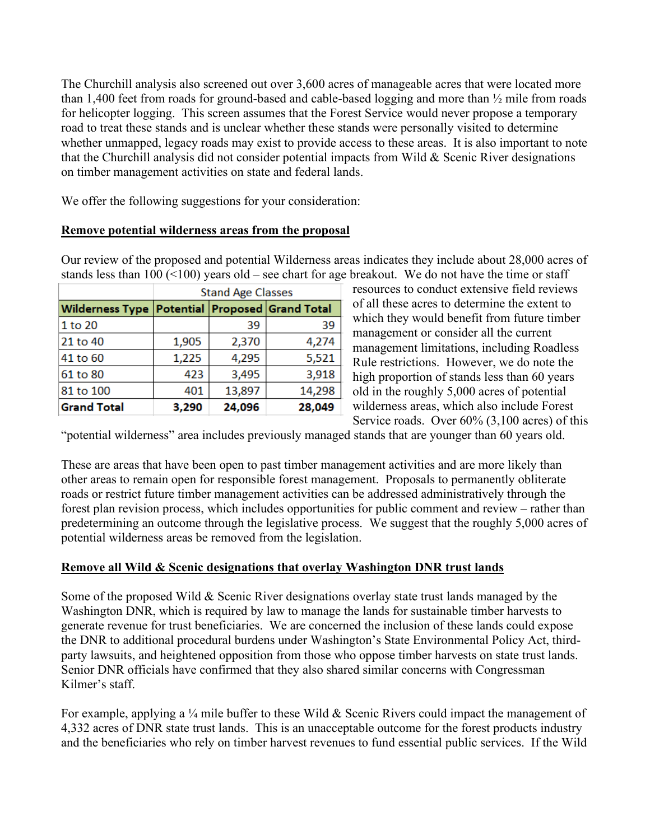The Churchill analysis also screened out over 3,600 acres of manageable acres that were located more than 1,400 feet from roads for ground-based and cable-based logging and more than ½ mile from roads for helicopter logging. This screen assumes that the Forest Service would never propose a temporary road to treat these stands and is unclear whether these stands were personally visited to determine whether unmapped, legacy roads may exist to provide access to these areas. It is also important to note that the Churchill analysis did not consider potential impacts from Wild  $&$  Scenic River designations on timber management activities on state and federal lands.

We offer the following suggestions for your consideration:

# **Remove potential wilderness areas from the proposal**

Our review of the proposed and potential Wilderness areas indicates they include about 28,000 acres of stands less than  $100$  (<100) years old – see chart for age breakout. We do not have the time or staff

|                                                      | <b>Stand Age Classes</b> |        |        |  |  |  |
|------------------------------------------------------|--------------------------|--------|--------|--|--|--|
| Wilderness Type   Potential   Proposed   Grand Total |                          |        |        |  |  |  |
| 1 to 20                                              |                          | 39     | 39     |  |  |  |
| 21 to 40                                             | 1,905                    | 2,370  | 4,274  |  |  |  |
| 41 to 60                                             | 1,225                    | 4,295  | 5,521  |  |  |  |
| 61 to 80                                             | 423                      | 3,495  | 3,918  |  |  |  |
| 81 to 100                                            | 401                      | 13,897 | 14,298 |  |  |  |
| <b>Grand Total</b>                                   | 3,290                    | 24,096 | 28,049 |  |  |  |

resources to conduct extensive field reviews of all these acres to determine the extent to which they would benefit from future timber management or consider all the current management limitations, including Roadless Rule restrictions. However, we do note the high proportion of stands less than 60 years old in the roughly 5,000 acres of potential wilderness areas, which also include Forest Service roads. Over 60% (3,100 acres) of this

"potential wilderness" area includes previously managed stands that are younger than 60 years old.

These are areas that have been open to past timber management activities and are more likely than other areas to remain open for responsible forest management. Proposals to permanently obliterate roads or restrict future timber management activities can be addressed administratively through the forest plan revision process, which includes opportunities for public comment and review – rather than predetermining an outcome through the legislative process. We suggest that the roughly 5,000 acres of potential wilderness areas be removed from the legislation.

### **Remove all Wild & Scenic designations that overlay Washington DNR trust lands**

Some of the proposed Wild & Scenic River designations overlay state trust lands managed by the Washington DNR, which is required by law to manage the lands for sustainable timber harvests to generate revenue for trust beneficiaries. We are concerned the inclusion of these lands could expose the DNR to additional procedural burdens under Washington's State Environmental Policy Act, thirdparty lawsuits, and heightened opposition from those who oppose timber harvests on state trust lands. Senior DNR officials have confirmed that they also shared similar concerns with Congressman Kilmer's staff.

For example, applying a 1/4 mile buffer to these Wild & Scenic Rivers could impact the management of 4,332 acres of DNR state trust lands. This is an unacceptable outcome for the forest products industry and the beneficiaries who rely on timber harvest revenues to fund essential public services. If the Wild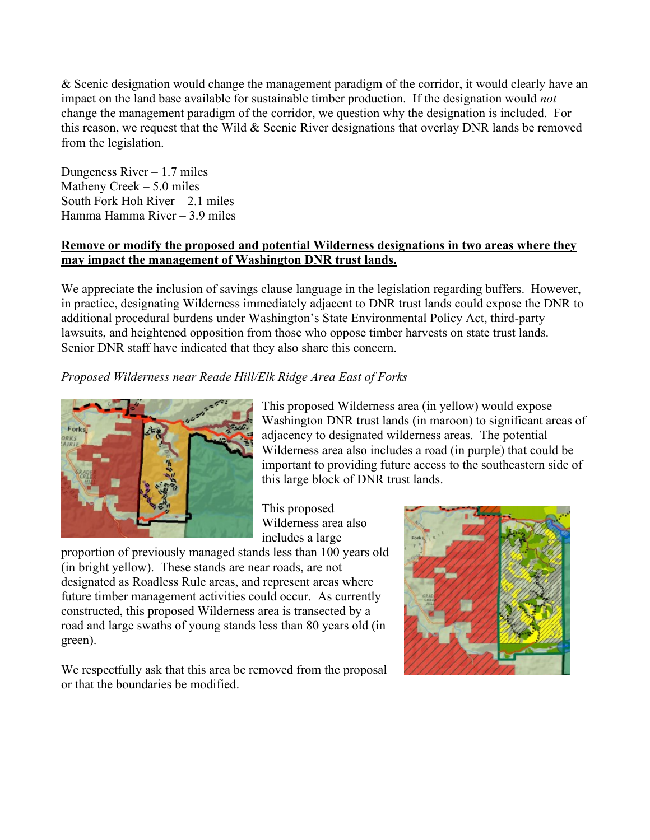& Scenic designation would change the management paradigm of the corridor, it would clearly have an impact on the land base available for sustainable timber production. If the designation would *not*  change the management paradigm of the corridor, we question why the designation is included. For this reason, we request that the Wild & Scenic River designations that overlay DNR lands be removed from the legislation.

Dungeness River – 1.7 miles Matheny Creek – 5.0 miles South Fork Hoh River – 2.1 miles Hamma Hamma River – 3.9 miles

### **Remove or modify the proposed and potential Wilderness designations in two areas where they may impact the management of Washington DNR trust lands.**

We appreciate the inclusion of savings clause language in the legislation regarding buffers. However, in practice, designating Wilderness immediately adjacent to DNR trust lands could expose the DNR to additional procedural burdens under Washington's State Environmental Policy Act, third-party lawsuits, and heightened opposition from those who oppose timber harvests on state trust lands. Senior DNR staff have indicated that they also share this concern.

# *Proposed Wilderness near Reade Hill/Elk Ridge Area East of Forks*



This proposed Wilderness area (in yellow) would expose Washington DNR trust lands (in maroon) to significant areas of adjacency to designated wilderness areas. The potential Wilderness area also includes a road (in purple) that could be important to providing future access to the southeastern side of this large block of DNR trust lands.

This proposed Wilderness area also includes a large

proportion of previously managed stands less than 100 years old (in bright yellow). These stands are near roads, are not designated as Roadless Rule areas, and represent areas where future timber management activities could occur. As currently constructed, this proposed Wilderness area is transected by a road and large swaths of young stands less than 80 years old (in green).

We respectfully ask that this area be removed from the proposal or that the boundaries be modified.

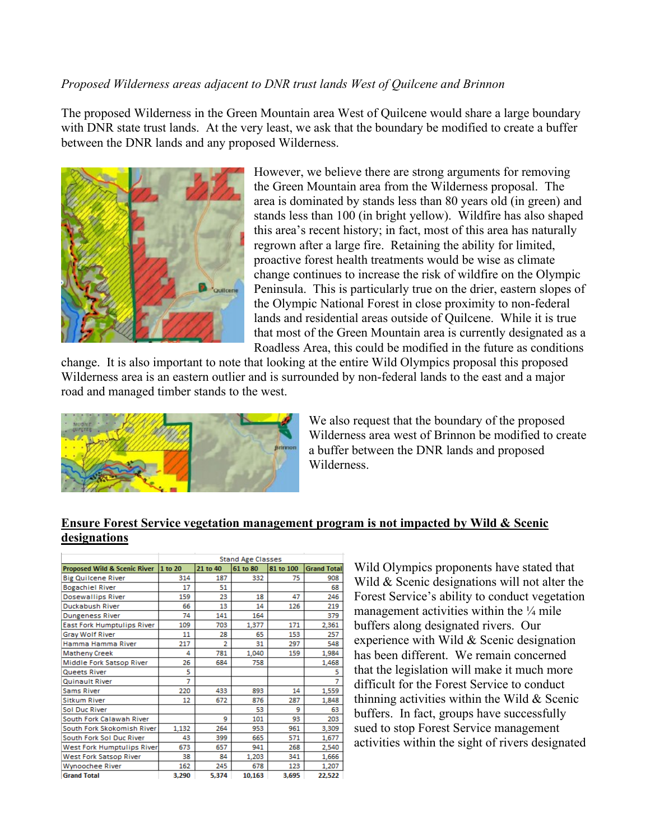#### *Proposed Wilderness areas adjacent to DNR trust lands West of Quilcene and Brinnon*

The proposed Wilderness in the Green Mountain area West of Quilcene would share a large boundary with DNR state trust lands. At the very least, we ask that the boundary be modified to create a buffer between the DNR lands and any proposed Wilderness.



However, we believe there are strong arguments for removing the Green Mountain area from the Wilderness proposal. The area is dominated by stands less than 80 years old (in green) and stands less than 100 (in bright yellow). Wildfire has also shaped this area's recent history; in fact, most of this area has naturally regrown after a large fire. Retaining the ability for limited, proactive forest health treatments would be wise as climate change continues to increase the risk of wildfire on the Olympic Peninsula. This is particularly true on the drier, eastern slopes of the Olympic National Forest in close proximity to non-federal lands and residential areas outside of Quilcene. While it is true that most of the Green Mountain area is currently designated as a Roadless Area, this could be modified in the future as conditions

change. It is also important to note that looking at the entire Wild Olympics proposal this proposed Wilderness area is an eastern outlier and is surrounded by non-federal lands to the east and a major road and managed timber stands to the west.



We also request that the boundary of the proposed Wilderness area west of Brinnon be modified to create a buffer between the DNR lands and proposed Wilderness.

#### **Ensure Forest Service vegetation management program is not impacted by Wild & Scenic designations**

|                                         | <b>Stand Age Classes</b> |          |          |           |                    |  |
|-----------------------------------------|--------------------------|----------|----------|-----------|--------------------|--|
| <b>Proposed Wild &amp; Scenic River</b> | 1 to 20                  | 21 to 40 | 61 to 80 | 81 to 100 | <b>Grand Total</b> |  |
| <b>Big Quilcene River</b>               | 314                      | 187      | 332      | 75        | 908                |  |
| <b>Bogachiel River</b>                  | 17                       | 51       |          |           | 68                 |  |
| <b>Dosewallips River</b>                | 159                      | 23       | 18       | 47        | 246                |  |
| Duckabush River                         | 66                       | 13       | 14       | 126       | 219                |  |
| <b>Dungeness River</b>                  | 74                       | 141      | 164      |           | 379                |  |
| <b>East Fork Humptulips River</b>       | 109                      | 703      | 1,377    | 171       | 2,361              |  |
| <b>Gray Wolf River</b>                  | 11                       | 28       | 65       | 153       | 257                |  |
| Hamma Hamma River                       | 217                      | 2        | 31       | 297       | 548                |  |
| <b>Matheny Creek</b>                    | Δ                        | 781      | 1.040    | 159       | 1.984              |  |
| Middle Fork Satsop River                | 26                       | 684      | 758      |           | 1,468              |  |
| Queets River                            | 5                        |          |          |           | 5                  |  |
| Quinault River                          | 7                        |          |          |           | 7                  |  |
| <b>Sams River</b>                       | 220                      | 433      | 893      | 14        | 1,559              |  |
| Sitkum River                            | 12                       | 672      | 876      | 287       | 1,848              |  |
| Sol Duc River                           |                          |          | 53       | 9         | 63                 |  |
| South Fork Calawah River                |                          | 9        | 101      | 93        | 203                |  |
| South Fork Skokomish River              | 1,132                    | 264      | 953      | 961       | 3,309              |  |
| South Fork Sol Duc River                | 43                       | 399      | 665      | 571       | 1.677              |  |
| West Fork Humptulips River              | 673                      | 657      | 941      | 268       | 2,540              |  |
| <b>West Fork Satsop River</b>           | 38                       | 84       | 1.203    | 341       | 1,666              |  |
| Wynoochee River                         | 162                      | 245      | 678      | 123       | 1,207              |  |
| <b>Grand Total</b>                      | 3,290                    | 5.374    | 10,163   | 3.695     | 22,522             |  |

Wild Olympics proponents have stated that Wild & Scenic designations will not alter the Forest Service's ability to conduct vegetation management activities within the  $\frac{1}{4}$  mile buffers along designated rivers. Our experience with Wild & Scenic designation has been different. We remain concerned that the legislation will make it much more difficult for the Forest Service to conduct thinning activities within the Wild & Scenic buffers. In fact, groups have successfully sued to stop Forest Service management activities within the sight of rivers designated